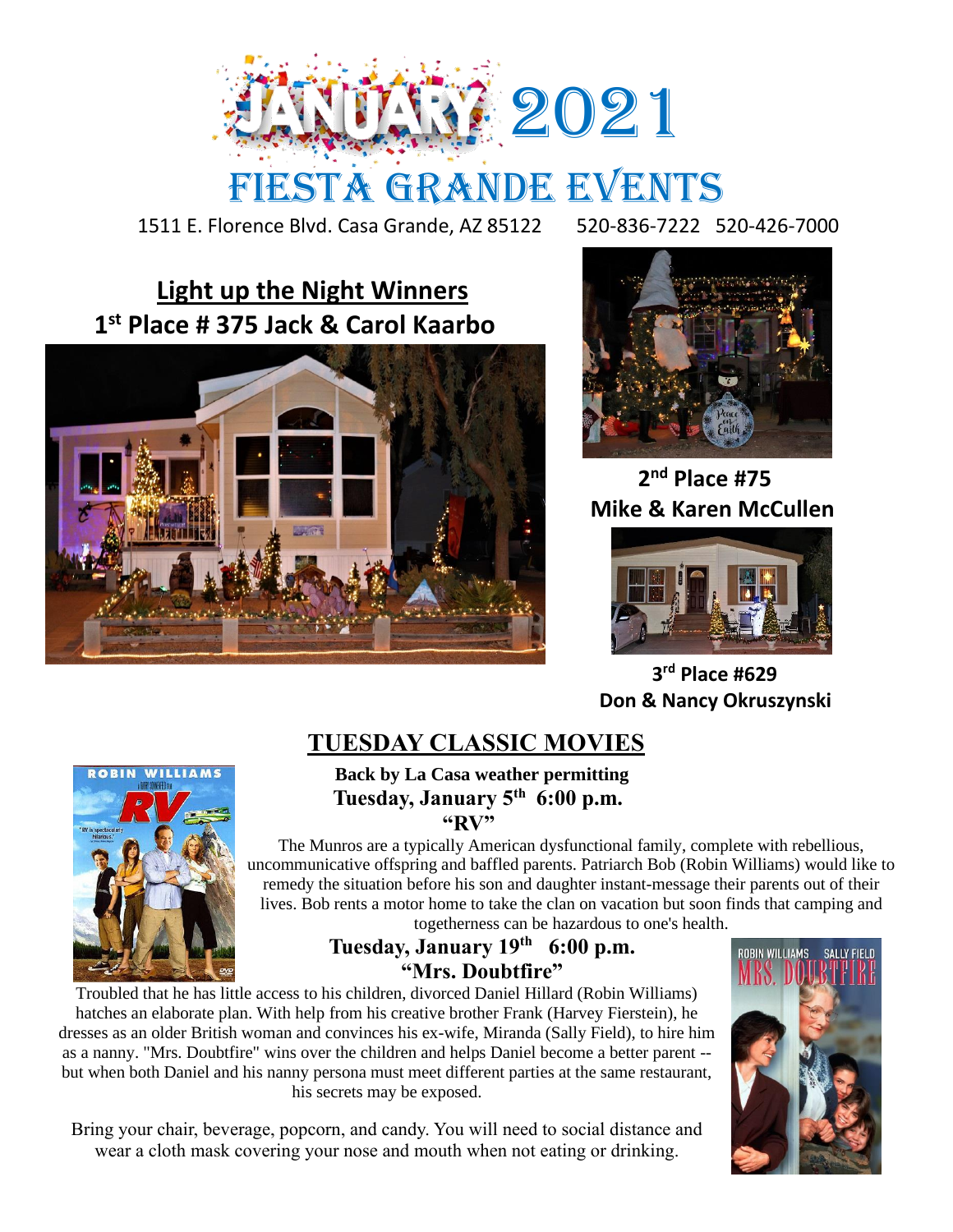

## FIESTA GRANDE EVENTS

1511 E. Florence Blvd. Casa Grande, AZ 85122 520-836-7222 520-426-7000

## **Light up the Night Winners 1 st Place # 375 Jack & Carol Kaarbo**





 **2 nd Place #75 Mike & Karen McCullen**



 **3 rd Place #629 Don & Nancy Okruszynski**

## **TUESDAY CLASSIC MOVIES**

 **Back by La Casa weather permitting Tuesday, January 5th 6:00 p.m. "RV"**

The Munros are a typically American dysfunctional family, complete with rebellious, uncommunicative offspring and baffled parents. Patriarch Bob (Robin Williams) would like to remedy the situation before his son and daughter instant-message their parents out of their lives. Bob rents a motor home to take the clan on vacation but soon finds that camping and togetherness can be hazardous to one's health.

**Tuesday, January 19th 6:00 p.m. "Mrs. Doubtfire"**

Troubled that he has little access to his children, divorced Daniel Hillard (Robin Williams) hatches an elaborate plan. With help from his creative brother Frank (Harvey Fierstein), he dresses as an older British woman and convinces his ex-wife, Miranda (Sally Field), to hire him as a nanny. "Mrs. Doubtfire" wins over the children and helps Daniel become a better parent - but when both Daniel and his nanny persona must meet different parties at the same restaurant, his secrets may be exposed.

Bring your chair, beverage, popcorn, and candy. You will need to social distance and wear a cloth mask covering your nose and mouth when not eating or drinking.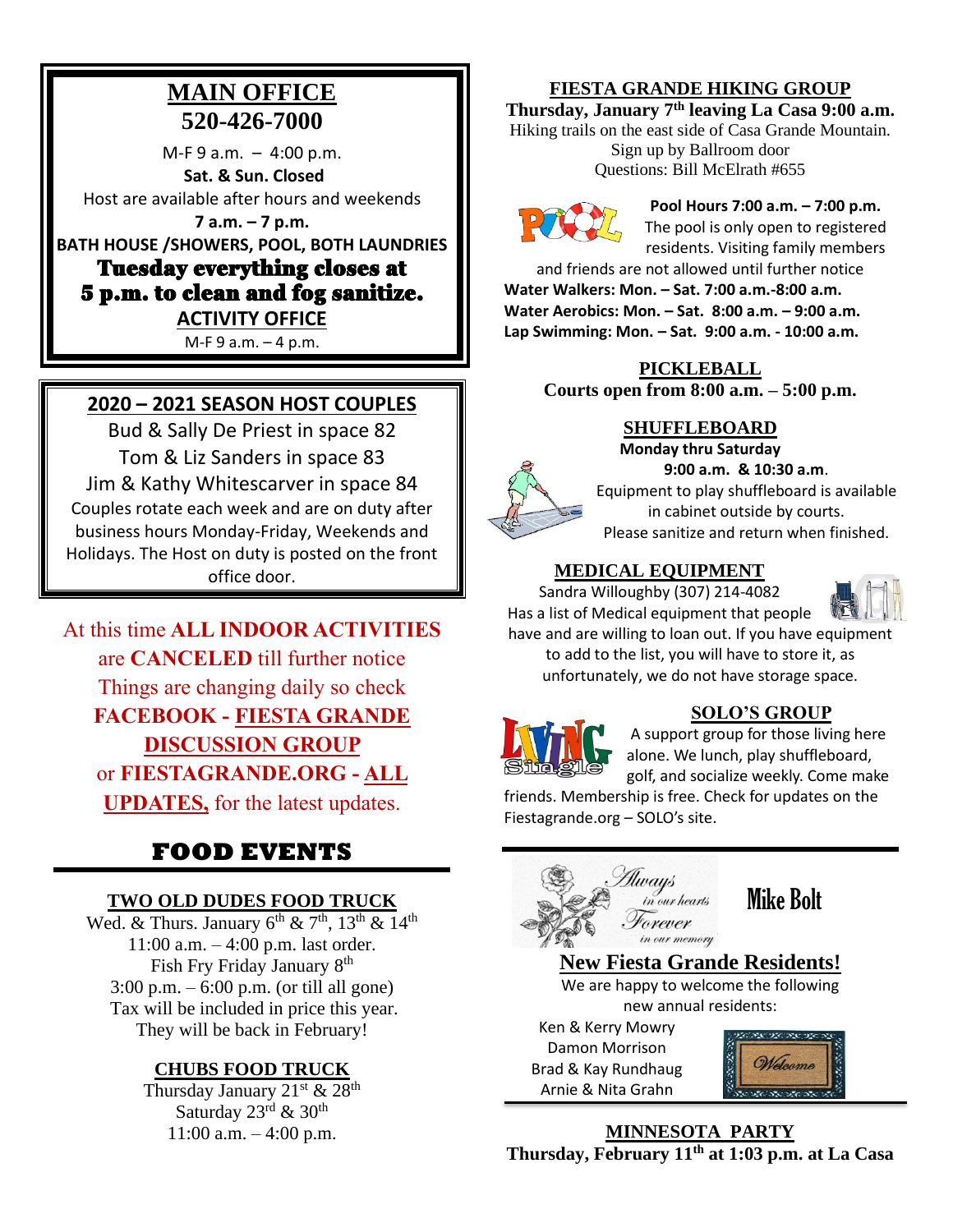### **MAIN OFFICE 520-426-7000**

 $M-F 9 a.m. - 4:00 p.m.$ **Sat. & Sun. Closed**  Host are available after hours and weekends **7 a.m. – 7 p.m. BATH HOUSE /SHOWERS, POOL, BOTH LAUNDRIES**

Tuesday everything closes at 5 p.m. to clean and fog sanitize. **ACTIVITY OFFICE** 

M-F 9 a.m. – 4 p.m.

#### **2020 – 2021 SEASON HOST COUPLES**

Bud & Sally De Priest in space 82 Tom & Liz Sanders in space 83 Jim & Kathy Whitescarver in space 84 Couples rotate each week and are on duty after business hours Monday-Friday, Weekends and Holidays. The Host on duty is posted on the front office door.

At this time **ALL INDOOR ACTIVITIES**  are **CANCELED** till further notice Things are changing daily so check **FACEBOOK - FIESTA GRANDE DISCUSSION GROUP** or **FIESTAGRANDE.ORG - ALL UPDATES,** for the latest updates.

### **FOOD EVENTS**

#### **TWO OLD DUDES FOOD TRUCK**

Wed. & Thurs. January  $6^{th}$  &  $7^{th}$ ,  $13^{th}$  &  $14^{th}$ 11:00 a.m. – 4:00 p.m. last order. Fish Fry Friday January 8th 3:00 p.m. – 6:00 p.m. (or till all gone) Tax will be included in price this year. They will be back in February!

#### **CHUBS FOOD TRUCK**

Thursday January  $21^{st}$  &  $28^{th}$ Saturday 23rd & 30<sup>th</sup> 11:00 a.m. – 4:00 p.m.

#### **FIESTA GRANDE HIKING GROUP**

**Thursday, January 7th leaving La Casa 9:00 a.m.** Hiking trails on the east side of Casa Grande Mountain. Sign up by Ballroom door Questions: Bill McElrath #655



**Pool Hours 7:00 a.m. – 7:00 p.m.** The pool is only open to registered residents. Visiting family members

and friends are not allowed until further notice **Water Walkers: Mon. – Sat. 7:00 a.m.-8:00 a.m. Water Aerobics: Mon. – Sat. 8:00 a.m. – 9:00 a.m. Lap Swimming: Mon. – Sat. 9:00 a.m. - 10:00 a.m.**

> **PICKLEBALL Courts open from 8:00 a.m. – 5:00 p.m.**

#### **SHUFFLEBOARD**

**Monday thru Saturday**

**9:00 a.m. & 10:30 a.m**. Equipment to play shuffleboard is available in cabinet outside by courts. Please sanitize and return when finished.

#### **MEDICAL EQUIPMENT**

Sandra Willoughby (307) 214-4082



Has a list of Medical equipment that people have and are willing to loan out. If you have equipment to add to the list, you will have to store it, as

unfortunately, we do not have storage space.



#### **SOLO'S GROUP**

A support group for those living here alone. We lunch, play shuffleboard, golf, and socialize weekly. Come make

friends. Membership is free. Check for updates on the Fiestagrande.org – SOLO's site.



Mike Bolt

**New Fiesta Grande Residents!** We are happy to welcome the following new annual residents:

Ken & Kerry Mowry Damon Morrison Brad & Kay Rundhaug Arnie & Nita Grahn



**MINNESOTA PARTY Thursday, February 11th at 1:03 p.m. at La Casa**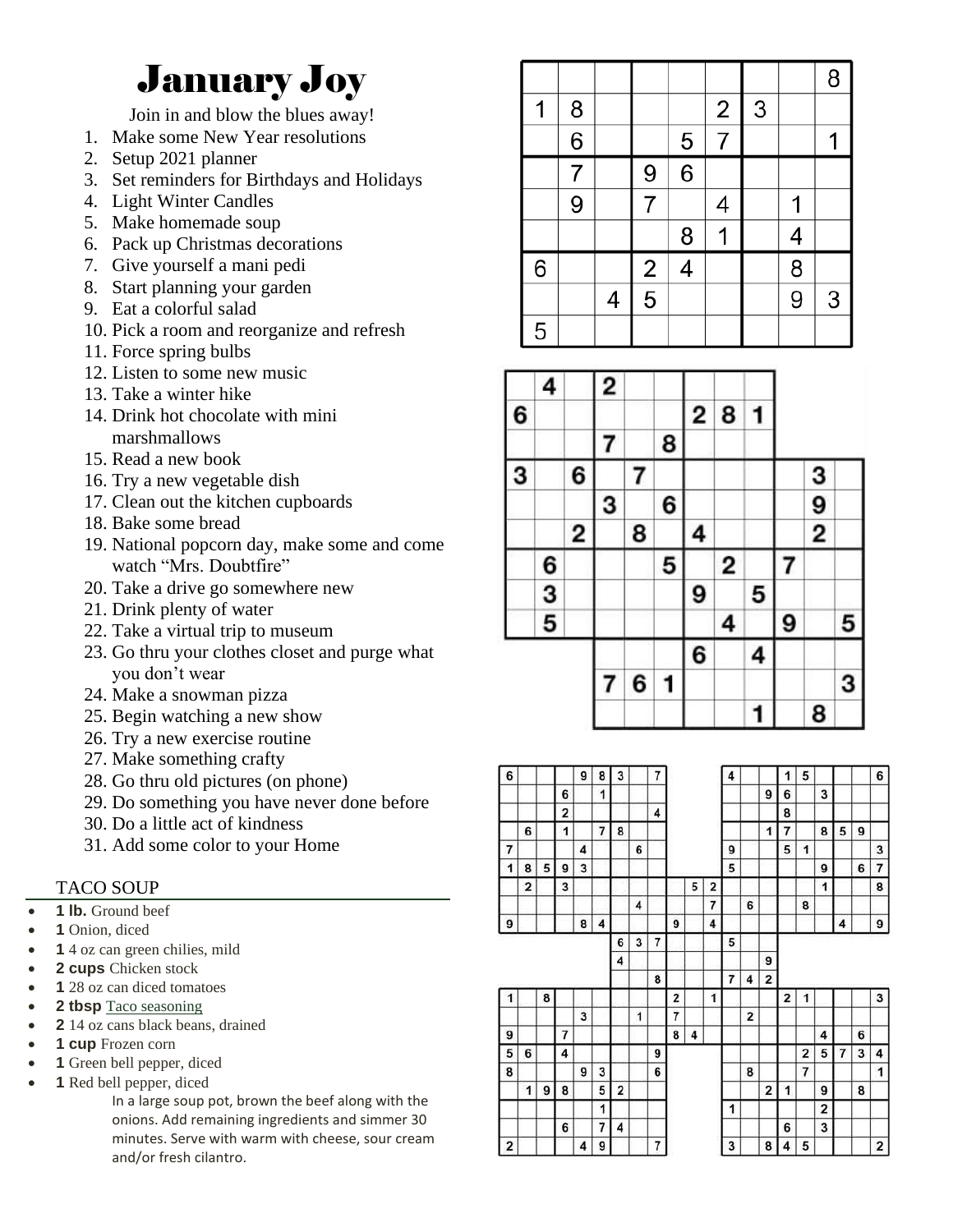## January Joy

Join in and blow the blues away!

- 1. Make some New Year resolutions
- 2. Setup 2021 planner
- 3. Set reminders for Birthdays and Holidays
- 4. Light Winter Candles
- 5. Make homemade soup
- 6. Pack up Christmas decorations
- 7. Give yourself a mani pedi
- 8. Start planning your garden
- 9. Eat a colorful salad
- 10. Pick a room and reorganize and refresh
- 11. Force spring bulbs
- 12. Listen to some new music
- 13. Take a winter hike
- 14. Drink hot chocolate with mini marshmallows
- 15. Read a new book
- 16. Try a new vegetable dish
- 17. Clean out the kitchen cupboards
- 18. Bake some bread
- 19. National popcorn day, make some and come watch "Mrs. Doubtfire"
- 20. Take a drive go somewhere new
- 21. Drink plenty of water
- 22. Take a virtual trip to museum
- 23. Go thru your clothes closet and purge what you don't wear
- 24. Make a snowman pizza
- 25. Begin watching a new show
- 26. Try a new exercise routine
- 27. Make something crafty
- 28. Go thru old pictures (on phone)
- 29. Do something you have never done before
- 30. Do a little act of kindness
- 31. Add some color to your Home

#### TACO SOUP

- 1 lb. Ground beef
- 1 Onion, diced
- **1** 4 oz can green chilies, mild
- 2 cups Chicken stock
- **1** 28 oz can diced tomatoes
- **2 tbsp** [Taco seasoning](https://themodernproper.com/posts/homemade-taco-seasoning)
- 2 14 oz cans black beans, drained
- **1 cup** Frozen corn
- 1 Green bell pepper, diced
- **1** Red bell pepper, diced

In a large soup pot, brown the beef along with the onions. Add remaining ingredients and simmer 30 minutes. Serve with warm with cheese, sour cream and/or fresh cilantro.

|   |   |   |               |                |                |   |   | 8 |
|---|---|---|---------------|----------------|----------------|---|---|---|
| 1 | 8 |   |               |                | $\overline{2}$ | 3 |   |   |
|   | 6 |   |               | $\overline{5}$ | 7              |   |   | 1 |
|   | 7 |   | 9             | $\overline{6}$ |                |   |   |   |
|   | 9 |   | 7             |                | 4              |   | 1 |   |
|   |   |   |               | 8              | 1              |   | 4 |   |
| 6 |   |   |               | 4              |                |   | 8 |   |
|   |   | 4 | $\frac{2}{5}$ |                |                |   | 9 | 3 |
| 5 |   |   |               |                |                |   |   |   |

|   | 4 |   | 2 |   |   |   |   |   |   |               |   |
|---|---|---|---|---|---|---|---|---|---|---------------|---|
| 6 |   |   |   |   |   | 2 | 8 | 1 |   |               |   |
|   |   |   | 7 |   | 8 |   |   |   |   |               |   |
| 3 |   | 6 |   | 7 |   |   |   |   |   | 3             |   |
|   |   |   | 3 |   | 6 |   |   |   |   |               |   |
|   |   | 2 |   | 8 |   | 4 |   |   |   | $\frac{9}{2}$ |   |
|   | 6 |   |   |   | 5 |   | 2 |   |   |               |   |
|   | 3 |   |   |   |   | 9 |   | 5 |   |               |   |
|   | 5 |   |   |   |   |   | 4 |   | 9 |               | 5 |
|   |   |   |   |   |   | 6 |   | 4 |   |               |   |
|   |   |   | 7 | 6 | 1 |   |   |   |   |               | 3 |
|   |   |   |   |   |   |   |   | 1 |   | 8             |   |

| 6 |                |   |   | 9 | 8              | 3 |   | 7 |   |   |   | 4              |   |   | 1 | 5              |   |   |   | 6              |
|---|----------------|---|---|---|----------------|---|---|---|---|---|---|----------------|---|---|---|----------------|---|---|---|----------------|
|   |                |   | 6 |   | 1              |   |   |   |   |   |   |                |   | 9 | 6 |                | 3 |   |   |                |
|   |                |   | 2 |   |                |   |   | 4 |   |   |   |                |   |   | 8 |                |   |   |   |                |
|   | 6              |   | 1 |   | $\overline{7}$ | 8 |   |   |   |   |   |                |   | 1 | 7 |                | 8 | 5 | 9 |                |
| 7 |                |   |   | 4 |                |   | 6 |   |   |   |   | 9              |   |   | 5 | 1              |   |   |   | 3              |
| 1 | 8              | 5 | 9 | 3 |                |   |   |   |   |   |   | 5              |   |   |   |                | 9 |   | 6 | $\overline{7}$ |
|   | $\overline{2}$ |   | 3 |   |                |   |   |   |   | 5 | 2 |                |   |   |   |                | 1 |   |   | 8              |
|   |                |   |   |   |                |   | 4 |   |   |   | 7 |                | 6 |   |   | 8              |   |   |   |                |
| 9 |                |   |   | 8 | 4              |   |   |   | 9 |   | 4 |                |   |   |   |                |   | 4 |   | 9              |
|   |                |   |   |   |                | 6 | 3 | 7 |   |   |   | 5              |   |   |   |                |   |   |   |                |
|   |                |   |   |   |                | 4 |   |   |   |   |   |                |   | 9 |   |                |   |   |   |                |
|   |                |   |   |   |                |   |   | 8 |   |   |   | $\overline{7}$ | 4 | 2 |   |                |   |   |   |                |
| 1 |                | 8 |   |   |                |   |   |   | 2 |   | 1 |                |   |   | 2 | 1              |   |   |   | 3              |
|   |                |   |   | 3 |                |   | 1 |   | 7 |   |   |                | 2 |   |   |                |   |   |   |                |
| 9 |                |   | 7 |   |                |   |   |   | 8 | 4 |   |                |   |   |   |                | 4 |   | 6 |                |
| 5 | 6              |   | 4 |   |                |   |   | 9 |   |   |   |                |   |   |   | $\overline{2}$ | 5 | 7 | 3 | 4              |
| 8 |                |   |   | 9 | 3              |   |   | 6 |   |   |   |                | 8 |   |   | $\overline{7}$ |   |   |   | 1              |
|   | 1              | 9 | 8 |   | 5              | 2 |   |   |   |   |   |                |   | 2 | 1 |                | 9 |   | 8 |                |
|   |                |   |   |   | 1              |   |   |   |   |   |   | 1              |   |   |   |                | 2 |   |   |                |
|   |                |   | 6 |   | $\overline{7}$ | 4 |   |   |   |   |   |                |   |   | 6 |                | 3 |   |   |                |
| 2 |                |   |   | 4 | 9              |   |   | 7 |   |   |   | 3              |   | 8 | 4 | 5              |   |   |   | 2              |